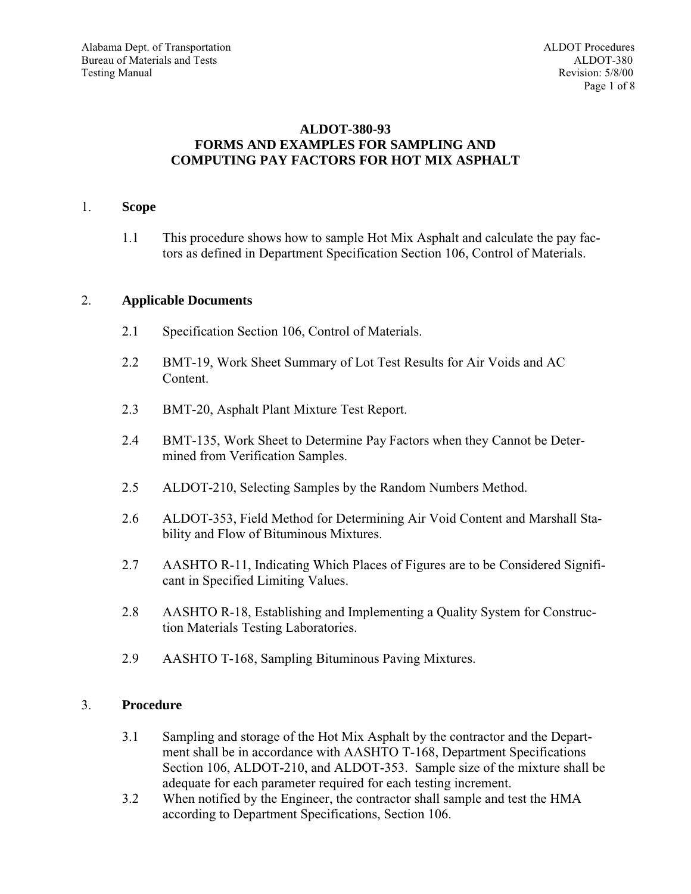## **ALDOT-380-93 FORMS AND EXAMPLES FOR SAMPLING AND COMPUTING PAY FACTORS FOR HOT MIX ASPHALT**

## 1. **Scope**

1.1 This procedure shows how to sample Hot Mix Asphalt and calculate the pay factors as defined in Department Specification Section 106, Control of Materials.

## 2. **Applicable Documents**

- 2.1 Specification Section 106, Control of Materials.
- 2.2 BMT-19, Work Sheet Summary of Lot Test Results for Air Voids and AC Content.
- 2.3 BMT-20, Asphalt Plant Mixture Test Report.
- 2.4 BMT-135, Work Sheet to Determine Pay Factors when they Cannot be Determined from Verification Samples.
- 2.5 ALDOT-210, Selecting Samples by the Random Numbers Method.
- 2.6 ALDOT-353, Field Method for Determining Air Void Content and Marshall Stability and Flow of Bituminous Mixtures.
- 2.7 AASHTO R-11, Indicating Which Places of Figures are to be Considered Significant in Specified Limiting Values.
- 2.8 AASHTO R-18, Establishing and Implementing a Quality System for Construction Materials Testing Laboratories.
- 2.9 AASHTO T-168, Sampling Bituminous Paving Mixtures.

## 3. **Procedure**

- 3.1 Sampling and storage of the Hot Mix Asphalt by the contractor and the Department shall be in accordance with AASHTO T-168, Department Specifications Section 106, ALDOT-210, and ALDOT-353. Sample size of the mixture shall be adequate for each parameter required for each testing increment.
- 3.2 When notified by the Engineer, the contractor shall sample and test the HMA according to Department Specifications, Section 106.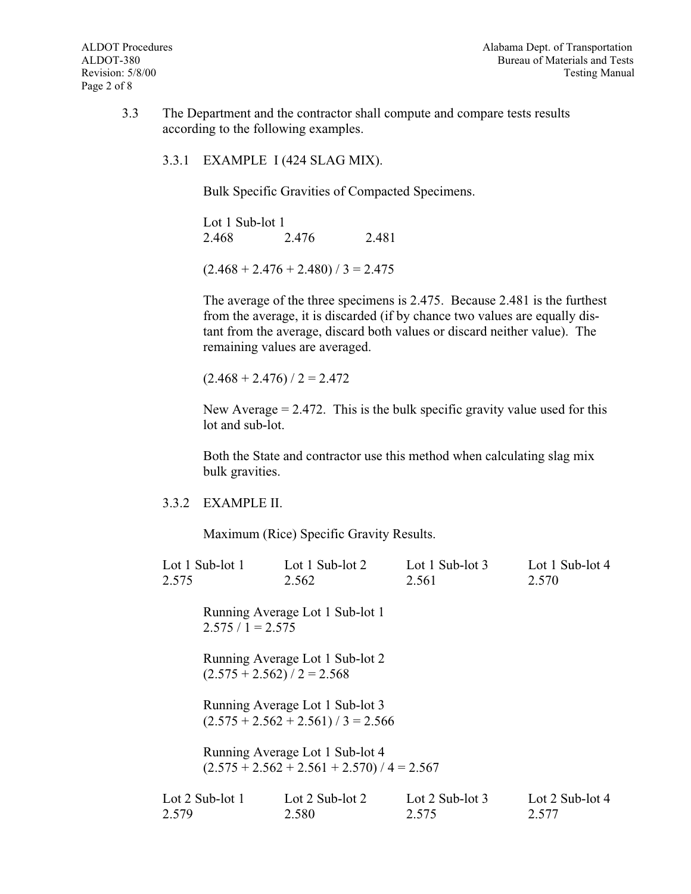- 3.3 The Department and the contractor shall compute and compare tests results according to the following examples.
	- 3.3.1 EXAMPLE I (424 SLAG MIX).

Bulk Specific Gravities of Compacted Specimens.

Lot 1 Sub-lot 1 2.468 2.476 2.481

 $(2.468 + 2.476 + 2.480) / 3 = 2.475$ 

The average of the three specimens is 2.475. Because 2.481 is the furthest from the average, it is discarded (if by chance two values are equally distant from the average, discard both values or discard neither value). The remaining values are averaged.

 $(2.468 + 2.476) / 2 = 2.472$ 

New Average  $= 2.472$ . This is the bulk specific gravity value used for this lot and sub-lot.

Both the State and contractor use this method when calculating slag mix bulk gravities.

3.3.2 EXAMPLE II.

Maximum (Rice) Specific Gravity Results.

| Lot $1$ Sub-lot $1$<br>2.575 |                               | Lot 1 Sub-lot 2<br>2.562                                                         | Lot 1 Sub-lot $3$<br>2.561 | Lot 1 Sub-lot 4<br>2.570   |
|------------------------------|-------------------------------|----------------------------------------------------------------------------------|----------------------------|----------------------------|
|                              | $2.575 / 1 = 2.575$           | Running Average Lot 1 Sub-lot 1                                                  |                            |                            |
|                              | $(2.575 + 2.562) / 2 = 2.568$ | Running Average Lot 1 Sub-lot 2                                                  |                            |                            |
|                              |                               | Running Average Lot 1 Sub-lot 3<br>$(2.575 + 2.562 + 2.561) / 3 = 2.566$         |                            |                            |
|                              |                               | Running Average Lot 1 Sub-lot 4<br>$(2.575 + 2.562 + 2.561 + 2.570) / 4 = 2.567$ |                            |                            |
| 2.579                        | Lot $2$ Sub-lot $1$           | Lot $2$ Sub-lot $2$<br>2.580                                                     | Lot 2 Sub-lot $3$<br>2.575 | Lot 2 Sub-lot $4$<br>2.577 |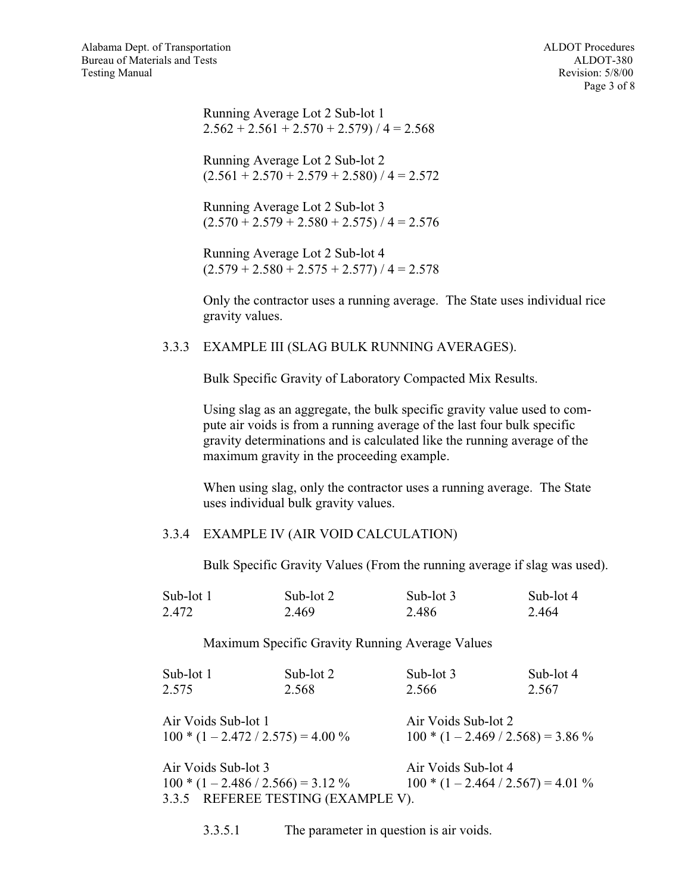Running Average Lot 2 Sub-lot 1  $2.562 + 2.561 + 2.570 + 2.579$  / 4 = 2.568

Running Average Lot 2 Sub-lot 2  $(2.561 + 2.570 + 2.579 + 2.580) / 4 = 2.572$ 

Running Average Lot 2 Sub-lot 3  $(2.570 + 2.579 + 2.580 + 2.575) / 4 = 2.576$ 

Running Average Lot 2 Sub-lot 4  $(2.579 + 2.580 + 2.575 + 2.577) / 4 = 2.578$ 

Only the contractor uses a running average. The State uses individual rice gravity values.

## 3.3.3 EXAMPLE III (SLAG BULK RUNNING AVERAGES).

Bulk Specific Gravity of Laboratory Compacted Mix Results.

Using slag as an aggregate, the bulk specific gravity value used to compute air voids is from a running average of the last four bulk specific gravity determinations and is calculated like the running average of the maximum gravity in the proceeding example.

When using slag, only the contractor uses a running average. The State uses individual bulk gravity values.

## 3.3.4 EXAMPLE IV (AIR VOID CALCULATION)

Bulk Specific Gravity Values (From the running average if slag was used).

| Sub-lot 1 | Sub-lot 2 | Sub-lot $3$ | Sub-lot 4 |
|-----------|-----------|-------------|-----------|
| 2.472     | 2.469     | 2.486       | 2.464     |

Maximum Specific Gravity Running Average Values

| Sub-lot 1           | Sub-lot 2                             | Sub-lot 3           | Sub-lot 4                             |
|---------------------|---------------------------------------|---------------------|---------------------------------------|
| 2.575               | 2.568                                 | 2.566               | 2.567                                 |
| Air Voids Sub-lot 1 |                                       | Air Voids Sub-lot 2 |                                       |
|                     | $100 * (1 - 2.472 / 2.575) = 4.00 %$  |                     | $100 * (1 - 2.469 / 2.568) = 3.86 %$  |
| Air Voids Sub-lot 3 |                                       | Air Voids Sub-lot 4 |                                       |
|                     | $100 * (1 - 2.486 / 2.566) = 3.12 \%$ |                     | $100 * (1 - 2.464 / 2.567) = 4.01 \%$ |
|                     | 3.3.5 REFEREE TESTING (EXAMPLE V).    |                     |                                       |

3.3.5.1 The parameter in question is air voids.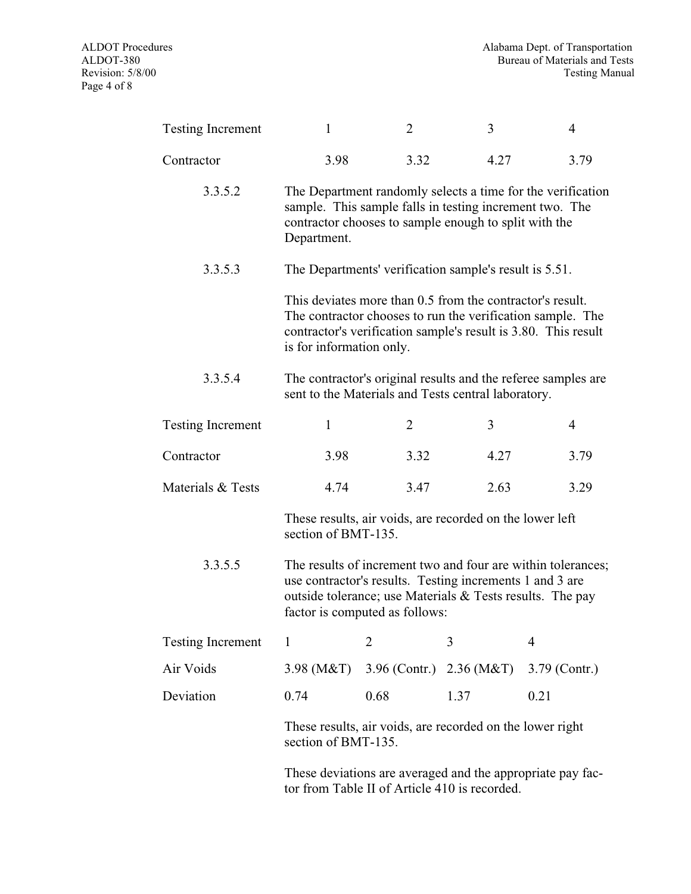| <b>Testing Increment</b> | 1                                                                                                                                                                                                                       | $\overline{2}$                                                                  | 3    | $\overline{4}$                                                                                                               |  |  |
|--------------------------|-------------------------------------------------------------------------------------------------------------------------------------------------------------------------------------------------------------------------|---------------------------------------------------------------------------------|------|------------------------------------------------------------------------------------------------------------------------------|--|--|
| Contractor               | 3.98                                                                                                                                                                                                                    | 3.32                                                                            | 4.27 | 3.79                                                                                                                         |  |  |
| 3.3.5.2                  | The Department randomly selects a time for the verification<br>sample. This sample falls in testing increment two. The<br>contractor chooses to sample enough to split with the<br>Department.                          |                                                                                 |      |                                                                                                                              |  |  |
| 3.3.5.3                  |                                                                                                                                                                                                                         | The Departments' verification sample's result is 5.51.                          |      |                                                                                                                              |  |  |
|                          | is for information only.                                                                                                                                                                                                | This deviates more than 0.5 from the contractor's result.                       |      | The contractor chooses to run the verification sample. The<br>contractor's verification sample's result is 3.80. This result |  |  |
| 3.3.5.4                  |                                                                                                                                                                                                                         | sent to the Materials and Tests central laboratory.                             |      | The contractor's original results and the referee samples are                                                                |  |  |
| <b>Testing Increment</b> | $\mathbf{1}$                                                                                                                                                                                                            | $\overline{2}$                                                                  | 3    | $\overline{4}$                                                                                                               |  |  |
| Contractor               | 3.98                                                                                                                                                                                                                    | 3.32                                                                            | 4.27 | 3.79                                                                                                                         |  |  |
| Materials & Tests        | 4.74                                                                                                                                                                                                                    | 3.47                                                                            | 2.63 | 3.29                                                                                                                         |  |  |
|                          |                                                                                                                                                                                                                         | These results, air voids, are recorded on the lower left<br>section of BMT-135. |      |                                                                                                                              |  |  |
| 3.3.5.5                  | The results of increment two and four are within tolerances;<br>use contractor's results. Testing increments 1 and 3 are<br>outside tolerance; use Materials & Tests results. The pay<br>factor is computed as follows: |                                                                                 |      |                                                                                                                              |  |  |
| <b>Testing Increment</b> | 1                                                                                                                                                                                                                       | $\overline{2}$                                                                  | 3    | 4                                                                                                                            |  |  |
| Air Voids                | $3.98 \, (M&T)$                                                                                                                                                                                                         | 3.96 (Contr.) 2.36 (M&T)                                                        |      | 3.79 (Contr.)                                                                                                                |  |  |
| Deviation                | 0.74                                                                                                                                                                                                                    | 0.68                                                                            | 1.37 | 0.21                                                                                                                         |  |  |
|                          | section of BMT-135.                                                                                                                                                                                                     | These results, air voids, are recorded on the lower right                       |      |                                                                                                                              |  |  |
|                          |                                                                                                                                                                                                                         |                                                                                 |      |                                                                                                                              |  |  |

These deviations are averaged and the appropriate pay factor from Table II of Article 410 is recorded.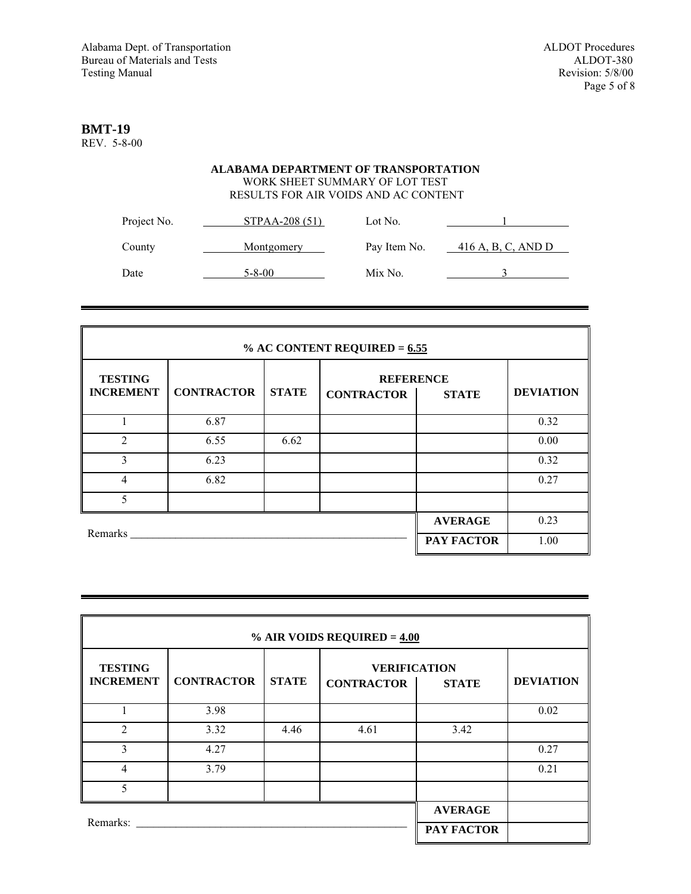# **BMT-19**

REV. 5-8-00

## **ALABAMA DEPARTMENT OF TRANSPORTATION** WORK SHEET SUMMARY OF LOT TEST RESULTS FOR AIR VOIDS AND AC CONTENT

| Project No. | STPAA-208 (51) | Lot No.      |                       |
|-------------|----------------|--------------|-----------------------|
| County      | Montgomery     | Pay Item No. | $-416$ A, B, C, AND D |
| Date        | $5 - 8 - 00$   | Mix No.      |                       |

| % AC CONTENT REQUIRED = $6.55$     |                   |                |                                                       |  |                  |  |
|------------------------------------|-------------------|----------------|-------------------------------------------------------|--|------------------|--|
| <b>TESTING</b><br><b>INCREMENT</b> | <b>CONTRACTOR</b> | <b>STATE</b>   | <b>REFERENCE</b><br><b>CONTRACTOR</b><br><b>STATE</b> |  | <b>DEVIATION</b> |  |
|                                    | 6.87              |                |                                                       |  | 0.32             |  |
| $\mathfrak{D}$                     | 6.55              | 6.62           |                                                       |  | 0.00             |  |
| 3                                  | 6.23              |                |                                                       |  | 0.32             |  |
| $\overline{4}$                     | 6.82              |                |                                                       |  | 0.27             |  |
| 5                                  |                   |                |                                                       |  |                  |  |
|                                    |                   | <b>AVERAGE</b> | 0.23                                                  |  |                  |  |
|                                    | Remarks           |                |                                                       |  | 1.00             |  |

| % AIR VOIDS REQUIRED = $4.00$      |                   |                |                                          |              |                  |  |  |
|------------------------------------|-------------------|----------------|------------------------------------------|--------------|------------------|--|--|
| <b>TESTING</b><br><b>INCREMENT</b> | <b>CONTRACTOR</b> | <b>STATE</b>   | <b>VERIFICATION</b><br><b>CONTRACTOR</b> | <b>STATE</b> | <b>DEVIATION</b> |  |  |
|                                    | 3.98              |                |                                          |              | 0.02             |  |  |
| $\overline{2}$                     | 3.32              | 4.46           | 4.61                                     | 3.42         |                  |  |  |
| 3                                  | 4.27              |                |                                          |              | 0.27             |  |  |
| $\overline{4}$                     | 3.79              |                |                                          |              | 0.21             |  |  |
| 5                                  |                   |                |                                          |              |                  |  |  |
|                                    |                   | <b>AVERAGE</b> |                                          |              |                  |  |  |
| Remarks:                           |                   | PAY FACTOR     |                                          |              |                  |  |  |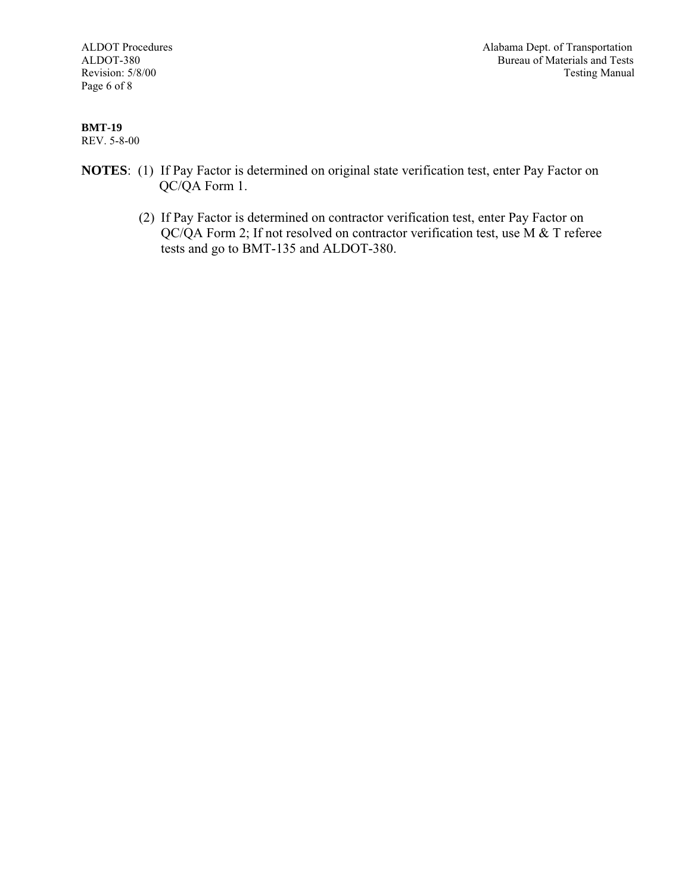Page 6 of 8

ALDOT Procedures Alabama Dept. of Transportation<br>ALDOT-380 Bureau of Materials and Tests Bureau of Materials and Tests Revision: 5/8/00 Testing Manual

#### **BMT-19** REV. 5-8-00

- **NOTES**: (1) If Pay Factor is determined on original state verification test, enter Pay Factor on QC/QA Form 1.
	- (2) If Pay Factor is determined on contractor verification test, enter Pay Factor on QC/QA Form 2; If not resolved on contractor verification test, use M & T referee tests and go to BMT-135 and ALDOT-380.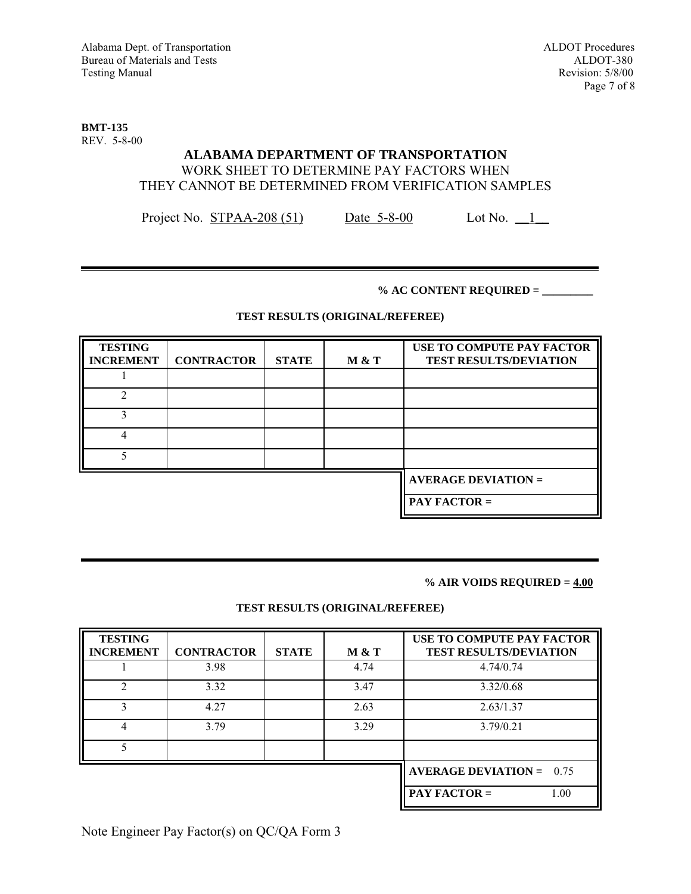**BMT-135** REV. 5-8-00

## **ALABAMA DEPARTMENT OF TRANSPORTATION** WORK SHEET TO DETERMINE PAY FACTORS WHEN THEY CANNOT BE DETERMINED FROM VERIFICATION SAMPLES

Project No. STPAA-208 (51) Date 5-8-00 Lot No. 1

### **% AC CONTENT REQUIRED = \_\_\_\_\_\_\_\_\_**

### **TEST RESULTS (ORIGINAL/REFEREE)**

| <b>TESTING</b><br><b>INCREMENT</b> | <b>CONTRACTOR</b> | <b>STATE</b> | M & T | USE TO COMPUTE PAY FACTOR<br><b>TEST RESULTS/DEVIATION</b> |
|------------------------------------|-------------------|--------------|-------|------------------------------------------------------------|
|                                    |                   |              |       |                                                            |
|                                    |                   |              |       |                                                            |
| 3                                  |                   |              |       |                                                            |
| 4                                  |                   |              |       |                                                            |
|                                    |                   |              |       |                                                            |
|                                    |                   |              |       | <b>AVERAGE DEVIATION =</b>                                 |
|                                    |                   |              |       | <b>PAY FACTOR =</b>                                        |

#### **% AIR VOIDS REQUIRED = 4.00**

## **TEST RESULTS (ORIGINAL/REFEREE)**

| <b>TESTING</b><br><b>INCREMENT</b> | <b>CONTRACTOR</b> | <b>STATE</b> | M & T | USE TO COMPUTE PAY FACTOR<br><b>TEST RESULTS/DEVIATION</b> |
|------------------------------------|-------------------|--------------|-------|------------------------------------------------------------|
|                                    | 3.98              |              | 4.74  | 4.74/0.74                                                  |
| $\mathfrak{D}$                     | 3.32              |              | 3.47  | 3.32/0.68                                                  |
| 3                                  | 4.27              |              | 2.63  | 2.63/1.37                                                  |
| 4                                  | 3.79              |              | 3.29  | 3.79/0.21                                                  |
|                                    |                   |              |       |                                                            |
|                                    |                   |              |       | <b>AVERAGE DEVIATION = <math>0.75</math></b>               |
|                                    |                   |              |       | PAY FACTOR $=$<br>1.00                                     |

Note Engineer Pay Factor(s) on QC/QA Form 3